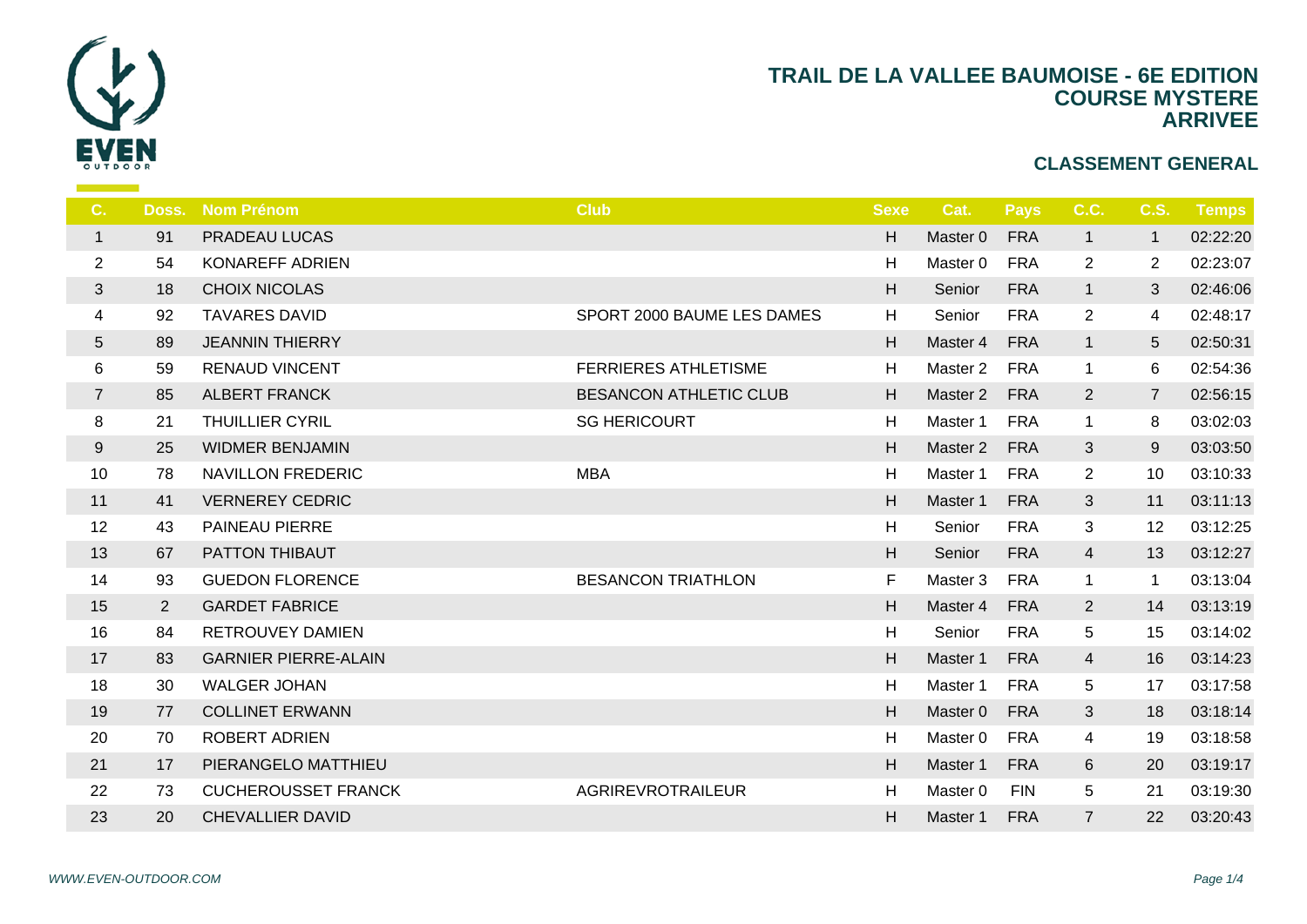

| C.               | Doss.          | <b>Nom Prénom</b>           | <b>Club</b>                 | <b>Sexe</b> |                |
|------------------|----------------|-----------------------------|-----------------------------|-------------|----------------|
| $\mathbf{1}$     | 91             | PRADEAU LUCAS               |                             | H.          | Ma             |
| $\overline{2}$   | 54             | KONAREFF ADRIEN             |                             | H           | Ma             |
| 3                | 18             | <b>CHOIX NICOLAS</b>        |                             | H           | S <sub>6</sub> |
| 4                | 92             | <b>TAVARES DAVID</b>        | SPORT 2000 BAUME LES DAMES  | H           | S <sub>6</sub> |
| $5\phantom{.0}$  | 89             | <b>JEANNIN THIERRY</b>      |                             | H           | Ma             |
| $\,6$            | 59             | <b>RENAUD VINCENT</b>       | <b>FERRIERES ATHLETISME</b> | H           | Ma             |
| $\overline{7}$   | 85             | <b>ALBERT FRANCK</b>        | BESANCON ATHLETIC CLUB      | H           | Ma             |
| $\,8\,$          | 21             | <b>THUILLIER CYRIL</b>      | <b>SG HERICOURT</b>         | H           | Ma             |
| $\boldsymbol{9}$ | 25             | <b>WIDMER BENJAMIN</b>      |                             | H           | Ma             |
| 10               | 78             | <b>NAVILLON FREDERIC</b>    | <b>MBA</b>                  | H           | Ma             |
| 11               | 41             | <b>VERNEREY CEDRIC</b>      |                             | H           | Ma             |
| 12               | 43             | PAINEAU PIERRE              |                             | H           | $S_6$          |
| 13               | 67             | PATTON THIBAUT              |                             | H.          | S <sub>6</sub> |
| 14               | 93             | <b>GUEDON FLORENCE</b>      | <b>BESANCON TRIATHLON</b>   | F.          | Ma             |
| 15               | $\overline{2}$ | <b>GARDET FABRICE</b>       |                             | H           | Ma             |
| 16               | 84             | <b>RETROUVEY DAMIEN</b>     |                             | H           | S6             |
| 17               | 83             | <b>GARNIER PIERRE-ALAIN</b> |                             | H           | Ma             |
| 18               | 30             | <b>WALGER JOHAN</b>         |                             | H           | Ma             |
| 19               | 77             | <b>COLLINET ERWANN</b>      |                             | H           | Ma             |
| 20               | 70             | <b>ROBERT ADRIEN</b>        |                             | H           | Ma             |
| 21               | 17             | PIERANGELO MATTHIEU         |                             | H           | Ma             |
| 22               | 73             | <b>CUCHEROUSSET FRANCK</b>  | AGRIREVROTRAILEUR           | H           | Ma             |
| 23               | 20             | <b>CHEVALLIER DAVID</b>     |                             | H           | Ma             |
|                  |                |                             |                             |             |                |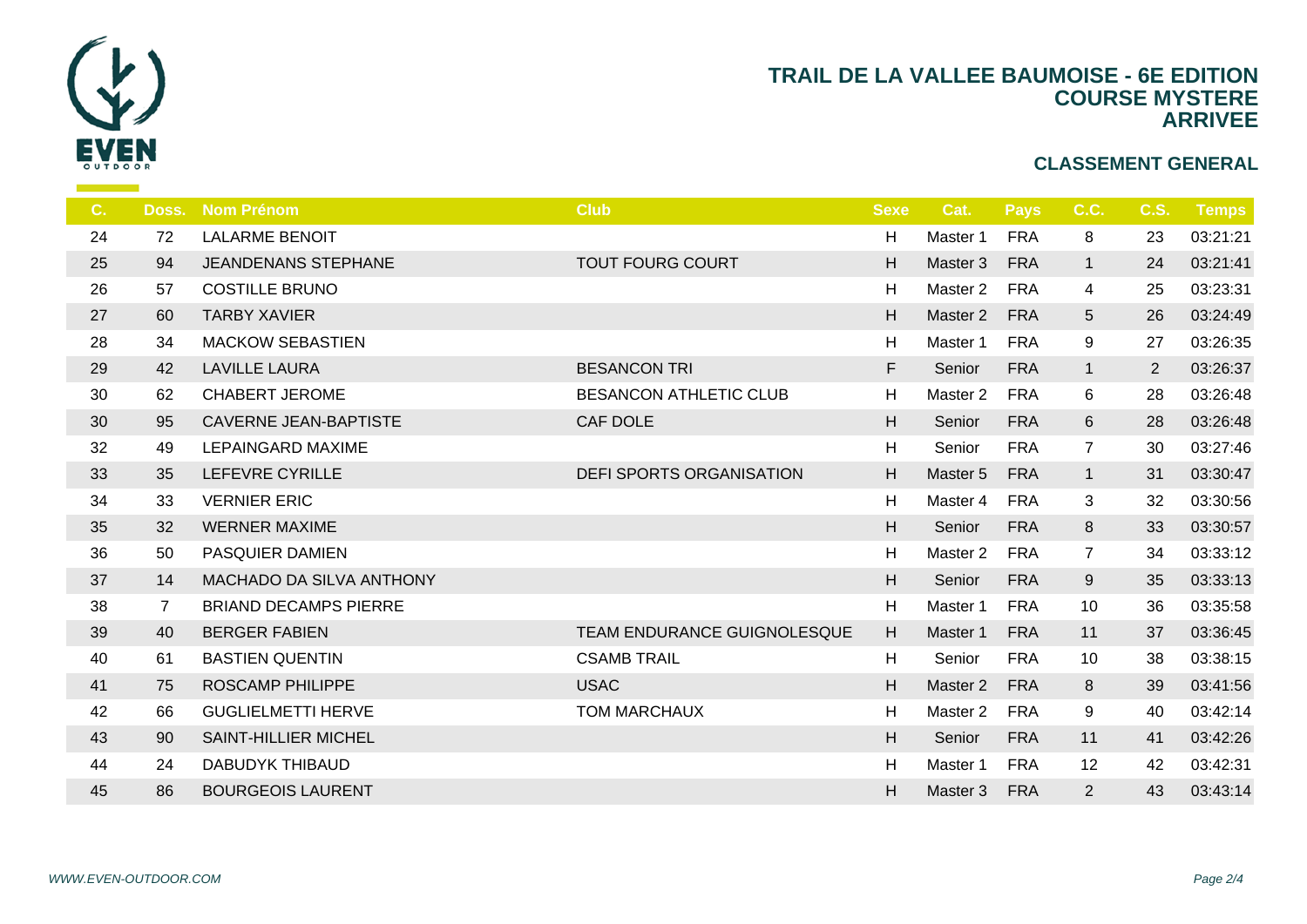

| $C_{1}$ |                | Doss. Nom Prénom             | <b>Club</b>                     | <b>Sexe</b> | $\mathbf C$    |
|---------|----------------|------------------------------|---------------------------------|-------------|----------------|
| 24      | 72             | <b>LALARME BENOIT</b>        |                                 | H           | Ma             |
| 25      | 94             | <b>JEANDENANS STEPHANE</b>   | <b>TOUT FOURG COURT</b>         | H           | Ma             |
| 26      | 57             | <b>COSTILLE BRUNO</b>        |                                 | H           | Ma             |
| 27      | 60             | <b>TARBY XAVIER</b>          |                                 | H           | Ma             |
| 28      | 34             | <b>MACKOW SEBASTIEN</b>      |                                 | H           | Ma             |
| 29      | 42             | <b>LAVILLE LAURA</b>         | <b>BESANCON TRI</b>             | F.          | S <sub>d</sub> |
| 30      | 62             | <b>CHABERT JEROME</b>        | <b>BESANCON ATHLETIC CLUB</b>   | H           | Ma             |
| 30      | 95             | <b>CAVERNE JEAN-BAPTISTE</b> | <b>CAF DOLE</b>                 | H           | S <sub>d</sub> |
| 32      | 49             | <b>LEPAINGARD MAXIME</b>     |                                 | H           | S <sub>d</sub> |
| 33      | 35             | LEFEVRE CYRILLE              | <b>DEFI SPORTS ORGANISATION</b> | H           | Ma             |
| 34      | 33             | <b>VERNIER ERIC</b>          |                                 | H           | Ma             |
| 35      | 32             | <b>WERNER MAXIME</b>         |                                 | H           | S <sub>d</sub> |
| 36      | 50             | PASQUIER DAMIEN              |                                 | H           | Ma             |
| 37      | 14             | MACHADO DA SILVA ANTHONY     |                                 | H           | S <sub>d</sub> |
| 38      | $\overline{7}$ | <b>BRIAND DECAMPS PIERRE</b> |                                 | H           | Ma             |
| 39      | 40             | <b>BERGER FABIEN</b>         | TEAM ENDURANCE GUIGNOLESQUE     | H           | Ma             |
| 40      | 61             | <b>BASTIEN QUENTIN</b>       | <b>CSAMB TRAIL</b>              | H           | S <sub>d</sub> |
| 41      | 75             | <b>ROSCAMP PHILIPPE</b>      | <b>USAC</b>                     | H           | Ma             |
| 42      | 66             | <b>GUGLIELMETTI HERVE</b>    | <b>TOM MARCHAUX</b>             | H           | Ma             |
| 43      | 90             | SAINT-HILLIER MICHEL         |                                 | H           | S <sub>6</sub> |
| 44      | 24             | <b>DABUDYK THIBAUD</b>       |                                 | H           | Ma             |
| 45      | 86             | <b>BOURGEOIS LAURENT</b>     |                                 | H           | Mas            |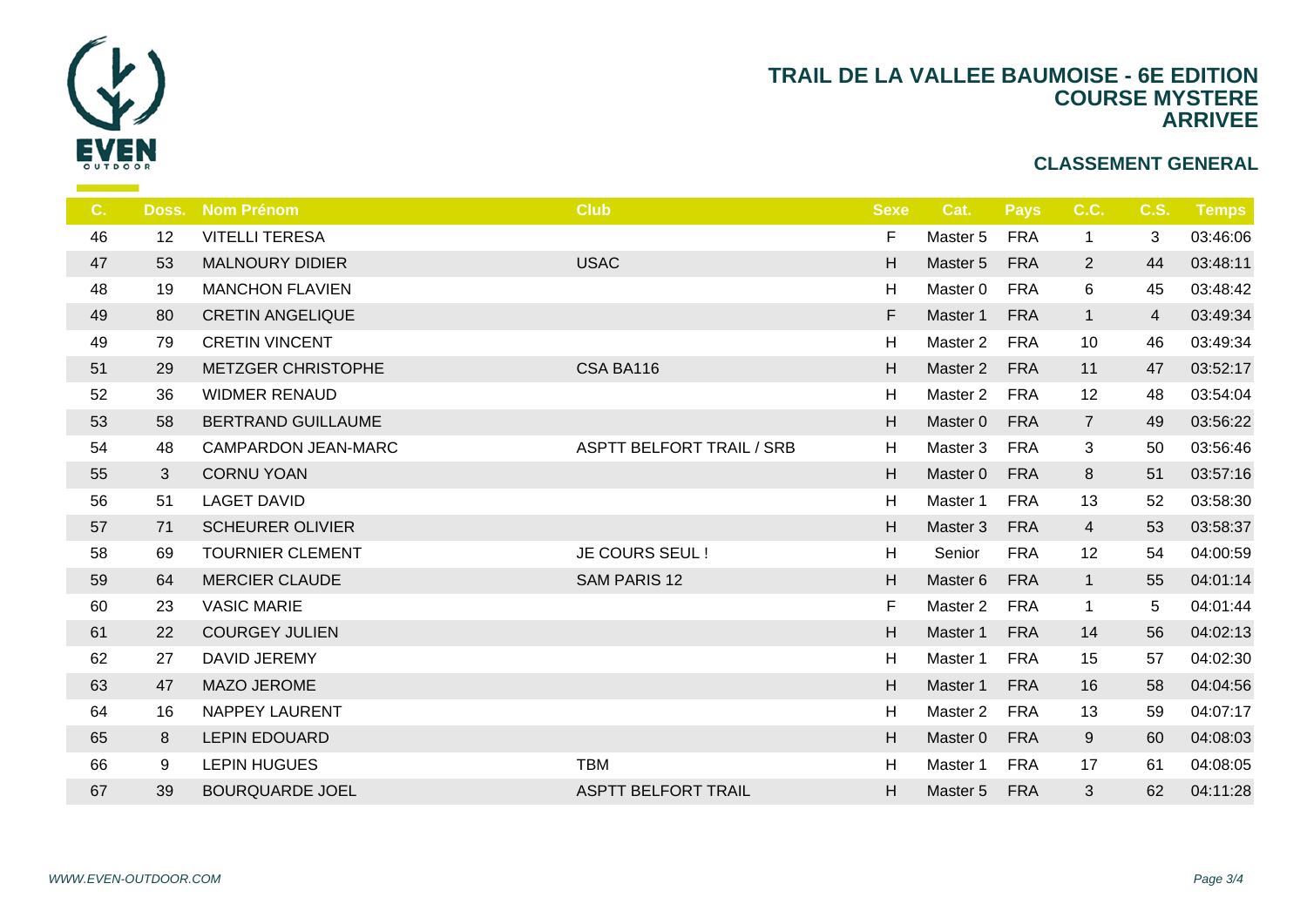

| C. | Doss. | <b>Nom Prénom</b>       | <b>Club</b>                      | <b>Sexe</b> | -C               |
|----|-------|-------------------------|----------------------------------|-------------|------------------|
| 46 | 12    | <b>VITELLI TERESA</b>   |                                  | F.          | Ma               |
| 47 | 53    | <b>MALNOURY DIDIER</b>  | <b>USAC</b>                      | H           | Ma               |
| 48 | 19    | <b>MANCHON FLAVIEN</b>  |                                  | H           | Ma               |
| 49 | 80    | <b>CRETIN ANGELIQUE</b> |                                  | F           | Ma:              |
| 49 | 79    | <b>CRETIN VINCENT</b>   |                                  | H           | Ma               |
| 51 | 29    | METZGER CHRISTOPHE      | CSA BA116                        | H           | Ma:              |
| 52 | 36    | <b>WIDMER RENAUD</b>    |                                  | H           | Ma               |
| 53 | 58    | BERTRAND GUILLAUME      |                                  | H           | Ma:              |
| 54 | 48    | CAMPARDON JEAN-MARC     | <b>ASPTT BELFORT TRAIL / SRB</b> | H           | Ma               |
| 55 | 3     | <b>CORNU YOAN</b>       |                                  | H           | Ma:              |
| 56 | 51    | <b>LAGET DAVID</b>      |                                  | H           | Ma               |
| 57 | 71    | <b>SCHEURER OLIVIER</b> |                                  | H           | Ma               |
| 58 | 69    | <b>TOURNIER CLEMENT</b> | JE COURS SEUL !                  | H           | $S_{\mathsf{C}}$ |
| 59 | 64    | <b>MERCIER CLAUDE</b>   | <b>SAM PARIS 12</b>              | H           | Ma:              |
| 60 | 23    | <b>VASIC MARIE</b>      |                                  | F           | Ma               |
| 61 | 22    | <b>COURGEY JULIEN</b>   |                                  | H           | Ma:              |
| 62 | 27    | DAVID JEREMY            |                                  | H           | Ma               |
| 63 | 47    | <b>MAZO JEROME</b>      |                                  | H           | Ma:              |
| 64 | 16    | <b>NAPPEY LAURENT</b>   |                                  | H           | Ma               |
| 65 | 8     | <b>LEPIN EDOUARD</b>    |                                  | H           | Ma               |
| 66 | 9     | <b>LEPIN HUGUES</b>     | <b>TBM</b>                       | H           | Ma               |
| 67 | 39    | <b>BOURQUARDE JOEL</b>  | ASPTT BELFORT TRAIL              | H.          | Ma               |